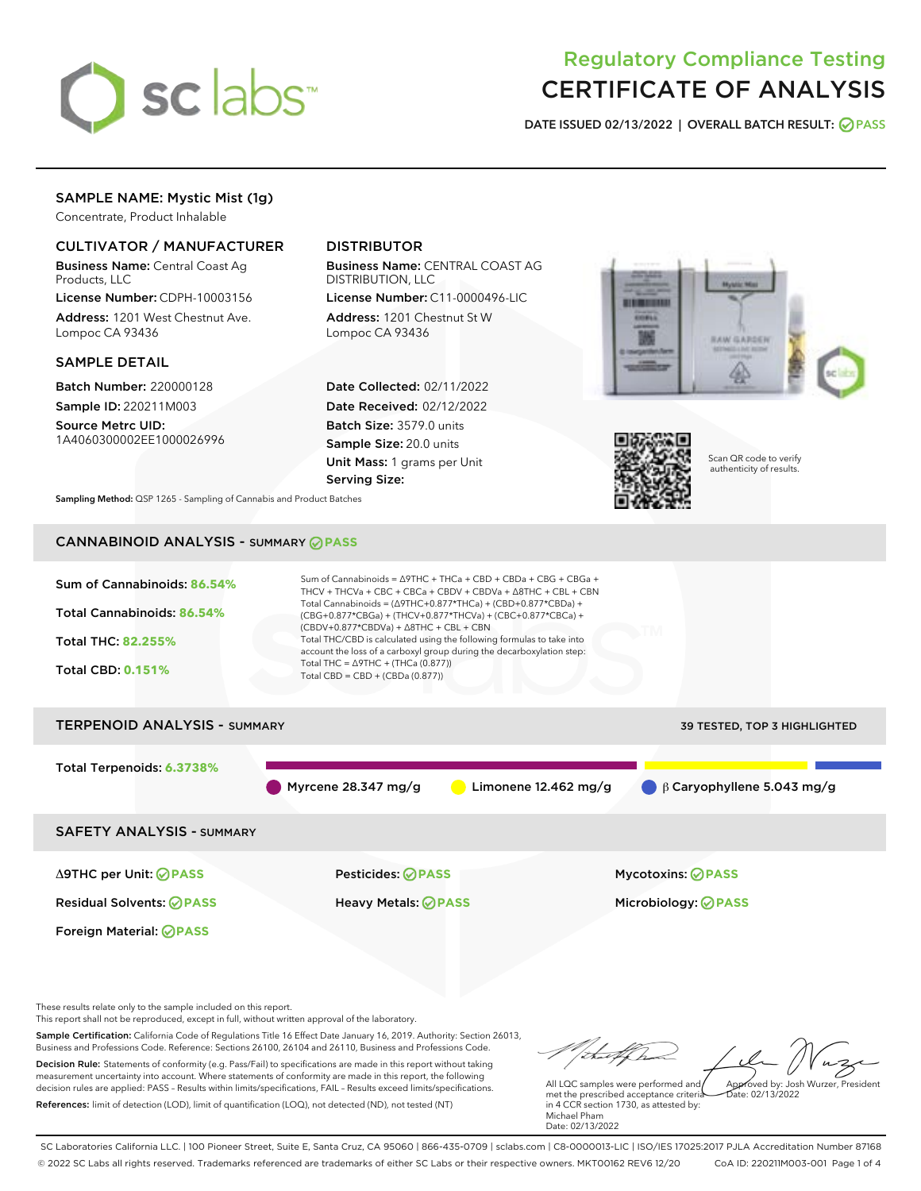

# Regulatory Compliance Testing CERTIFICATE OF ANALYSIS

DATE ISSUED 02/13/2022 | OVERALL BATCH RESULT: @ PASS

## SAMPLE NAME: Mystic Mist (1g)

Concentrate, Product Inhalable

## CULTIVATOR / MANUFACTURER

Business Name: Central Coast Ag Products, LLC

License Number: CDPH-10003156 Address: 1201 West Chestnut Ave. Lompoc CA 93436

#### SAMPLE DETAIL

Batch Number: 220000128 Sample ID: 220211M003

Source Metrc UID: 1A4060300002EE1000026996

## DISTRIBUTOR

Business Name: CENTRAL COAST AG DISTRIBUTION, LLC

License Number: C11-0000496-LIC Address: 1201 Chestnut St W Lompoc CA 93436

Date Collected: 02/11/2022 Date Received: 02/12/2022 Batch Size: 3579.0 units Sample Size: 20.0 units Unit Mass: 1 grams per Unit Serving Size:





Scan QR code to verify authenticity of results.

Sampling Method: QSP 1265 - Sampling of Cannabis and Product Batches

## CANNABINOID ANALYSIS - SUMMARY **PASS**



measurement uncertainty into account. Where statements of conformity are made in this report, the following decision rules are applied: PASS – Results within limits/specifications, FAIL – Results exceed limits/specifications. References: limit of detection (LOD), limit of quantification (LOQ), not detected (ND), not tested (NT)

All LQC samples were performed and met the prescribed acceptance criteria in 4 CCR section 1730, as attested by: Michael Pham Date: 02/13/2022 Approved by: Josh Wurzer, President  $\frac{1}{2}$ ate: 02/13/2022

SC Laboratories California LLC. | 100 Pioneer Street, Suite E, Santa Cruz, CA 95060 | 866-435-0709 | sclabs.com | C8-0000013-LIC | ISO/IES 17025:2017 PJLA Accreditation Number 87168 © 2022 SC Labs all rights reserved. Trademarks referenced are trademarks of either SC Labs or their respective owners. MKT00162 REV6 12/20 CoA ID: 220211M003-001 Page 1 of 4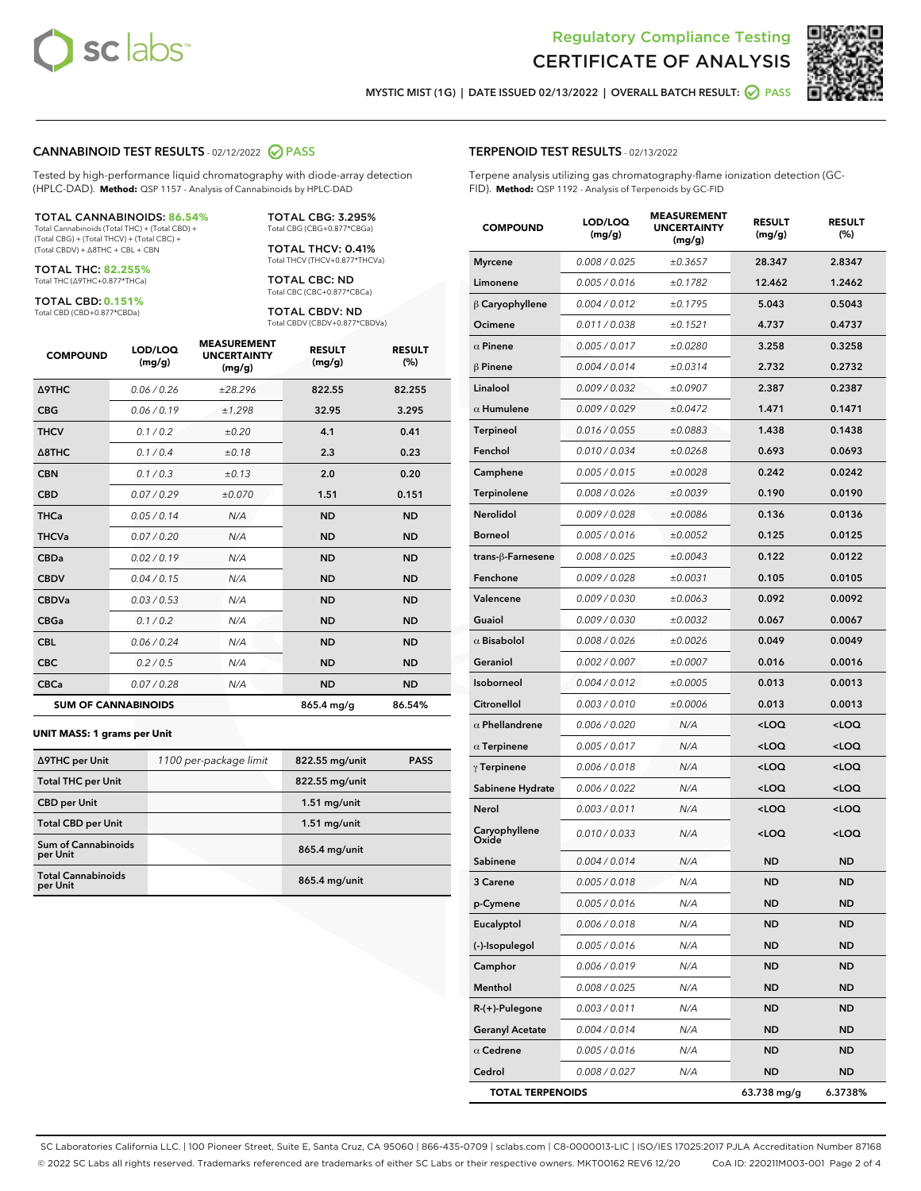



MYSTIC MIST (1G) | DATE ISSUED 02/13/2022 | OVERALL BATCH RESULT: @ PASS

#### CANNABINOID TEST RESULTS - 02/12/2022 2 PASS

Tested by high-performance liquid chromatography with diode-array detection (HPLC-DAD). **Method:** QSP 1157 - Analysis of Cannabinoids by HPLC-DAD

#### TOTAL CANNABINOIDS: **86.54%**

Total Cannabinoids (Total THC) + (Total CBD) + (Total CBG) + (Total THCV) + (Total CBC) + (Total CBDV) + ∆8THC + CBL + CBN

TOTAL THC: **82.255%** Total THC (∆9THC+0.877\*THCa)

TOTAL CBD: **0.151%** Total CBD (CBD+0.877\*CBDa)

TOTAL CBG: 3.295% Total CBG (CBG+0.877\*CBGa)

TOTAL THCV: 0.41% Total THCV (THCV+0.877\*THCVa)

TOTAL CBC: ND Total CBC (CBC+0.877\*CBCa)

TOTAL CBDV: ND Total CBDV (CBDV+0.877\*CBDVa)

| <b>COMPOUND</b>  | LOD/LOQ<br>(mg/g)          | <b>MEASUREMENT</b><br><b>UNCERTAINTY</b><br>(mg/g) | <b>RESULT</b><br>(mg/g) | <b>RESULT</b><br>(%) |
|------------------|----------------------------|----------------------------------------------------|-------------------------|----------------------|
| Δ9THC            | 0.06 / 0.26                | ±28.296                                            | 822.55                  | 82.255               |
| <b>CBG</b>       | 0.06/0.19                  | ±1.298                                             | 32.95                   | 3.295                |
| <b>THCV</b>      | 0.1 / 0.2                  | ±0.20                                              | 4.1                     | 0.41                 |
| $\triangle$ 8THC | 0.1/0.4                    | ±0.18                                              | 2.3                     | 0.23                 |
| <b>CBN</b>       | 0.1/0.3                    | ±0.13                                              | 2.0                     | 0.20                 |
| <b>CBD</b>       | 0.07/0.29                  | ±0.070                                             | 1.51                    | 0.151                |
| <b>THCa</b>      | 0.05/0.14                  | N/A                                                | <b>ND</b>               | <b>ND</b>            |
| <b>THCVa</b>     | 0.07/0.20                  | N/A                                                | <b>ND</b>               | <b>ND</b>            |
| <b>CBDa</b>      | 0.02/0.19                  | N/A                                                | <b>ND</b>               | <b>ND</b>            |
| <b>CBDV</b>      | 0.04 / 0.15                | N/A                                                | <b>ND</b>               | <b>ND</b>            |
| <b>CBDVa</b>     | 0.03/0.53                  | N/A                                                | <b>ND</b>               | <b>ND</b>            |
| <b>CBGa</b>      | 0.1 / 0.2                  | N/A                                                | <b>ND</b>               | <b>ND</b>            |
| <b>CBL</b>       | 0.06 / 0.24                | N/A                                                | <b>ND</b>               | <b>ND</b>            |
| <b>CBC</b>       | 0.2 / 0.5                  | N/A                                                | <b>ND</b>               | <b>ND</b>            |
| <b>CBCa</b>      | 0.07/0.28                  | N/A                                                | <b>ND</b>               | <b>ND</b>            |
|                  | <b>SUM OF CANNABINOIDS</b> |                                                    | 865.4 mg/g              | 86.54%               |

#### **UNIT MASS: 1 grams per Unit**

| ∆9THC per Unit                         | 1100 per-package limit | 822.55 mg/unit | <b>PASS</b> |
|----------------------------------------|------------------------|----------------|-------------|
| <b>Total THC per Unit</b>              |                        | 822.55 mg/unit |             |
| <b>CBD per Unit</b>                    |                        | $1.51$ mg/unit |             |
| <b>Total CBD per Unit</b>              |                        | $1.51$ mg/unit |             |
| <b>Sum of Cannabinoids</b><br>per Unit |                        | 865.4 mg/unit  |             |
| <b>Total Cannabinoids</b><br>per Unit  |                        | 865.4 mg/unit  |             |

| <b>TERPENOID TEST RESULTS - 02/13/2022</b> |  |  |  |  |  |
|--------------------------------------------|--|--|--|--|--|
|                                            |  |  |  |  |  |

Terpene analysis utilizing gas chromatography-flame ionization detection (GC-FID). **Method:** QSP 1192 - Analysis of Terpenoids by GC-FID

| <b>COMPOUND</b>         | LOD/LOQ<br>(mg/g) | <b>MEASUREMENT</b><br><b>UNCERTAINTY</b><br>(mg/g) | <b>RESULT</b><br>(mg/g)                         | <b>RESULT</b><br>(%) |
|-------------------------|-------------------|----------------------------------------------------|-------------------------------------------------|----------------------|
| <b>Myrcene</b>          | 0.008 / 0.025     | ±0.3657                                            | 28.347                                          | 2.8347               |
| Limonene                | 0.005 / 0.016     | ±0.1782                                            | 12.462                                          | 1.2462               |
| $\beta$ Caryophyllene   | 0.004 / 0.012     | ±0.1795                                            | 5.043                                           | 0.5043               |
| Ocimene                 | 0.011 / 0.038     | ±0.1521                                            | 4.737                                           | 0.4737               |
| $\alpha$ Pinene         | 0.005 / 0.017     | ±0.0280                                            | 3.258                                           | 0.3258               |
| $\beta$ Pinene          | 0.004 / 0.014     | ±0.0314                                            | 2.732                                           | 0.2732               |
| Linalool                | 0.009 / 0.032     | ±0.0907                                            | 2.387                                           | 0.2387               |
| $\alpha$ Humulene       | 0.009/0.029       | ±0.0472                                            | 1.471                                           | 0.1471               |
| Terpineol               | 0.016 / 0.055     | ±0.0883                                            | 1.438                                           | 0.1438               |
| Fenchol                 | 0.010 / 0.034     | ±0.0268                                            | 0.693                                           | 0.0693               |
| Camphene                | 0.005 / 0.015     | ±0.0028                                            | 0.242                                           | 0.0242               |
| <b>Terpinolene</b>      | 0.008 / 0.026     | ±0.0039                                            | 0.190                                           | 0.0190               |
| Nerolidol               | 0.009 / 0.028     | ±0.0086                                            | 0.136                                           | 0.0136               |
| <b>Borneol</b>          | 0.005 / 0.016     | ±0.0052                                            | 0.125                                           | 0.0125               |
| trans-β-Farnesene       | 0.008 / 0.025     | ±0.0043                                            | 0.122                                           | 0.0122               |
| Fenchone                | 0.009 / 0.028     | ±0.0031                                            | 0.105                                           | 0.0105               |
| Valencene               | 0.009 / 0.030     | ±0.0063                                            | 0.092                                           | 0.0092               |
| Guaiol                  | 0.009 / 0.030     | ±0.0032                                            | 0.067                                           | 0.0067               |
| $\alpha$ Bisabolol      | 0.008 / 0.026     | ±0.0026                                            | 0.049                                           | 0.0049               |
| Geraniol                | 0.002 / 0.007     | ±0.0007                                            | 0.016                                           | 0.0016               |
| Isoborneol              | 0.004 / 0.012     | ±0.0005                                            | 0.013                                           | 0.0013               |
| Citronellol             | 0.003 / 0.010     | ±0.0006                                            | 0.013                                           | 0.0013               |
| $\alpha$ Phellandrene   | 0.006 / 0.020     | N/A                                                | <loq< th=""><th><loq< th=""></loq<></th></loq<> | <loq< th=""></loq<>  |
| $\alpha$ Terpinene      | 0.005 / 0.017     | N/A                                                | <loq< th=""><th><loq< th=""></loq<></th></loq<> | <loq< th=""></loq<>  |
| $\gamma$ Terpinene      | 0.006 / 0.018     | N/A                                                | <loq< th=""><th><loq< th=""></loq<></th></loq<> | <loq< th=""></loq<>  |
| Sabinene Hydrate        | 0.006 / 0.022     | N/A                                                | <loq< th=""><th><loq< th=""></loq<></th></loq<> | <loq< th=""></loq<>  |
| Nerol                   | 0.003 / 0.011     | N/A                                                | <loq< th=""><th><loq< th=""></loq<></th></loq<> | <loq< th=""></loq<>  |
| Caryophyllene<br>Oxide  | 0.010 / 0.033     | N/A                                                | <loq< th=""><th><loq< th=""></loq<></th></loq<> | <loq< th=""></loq<>  |
| Sabinene                | 0.004 / 0.014     | N/A                                                | <b>ND</b>                                       | <b>ND</b>            |
| 3 Carene                | 0.005 / 0.018     | N/A                                                | ND                                              | ND                   |
| p-Cymene                | 0.005 / 0.016     | N/A                                                | ND                                              | ND                   |
| Eucalyptol              | 0.006 / 0.018     | N/A                                                | ND                                              | <b>ND</b>            |
| (-)-Isopulegol          | 0.005 / 0.016     | N/A                                                | <b>ND</b>                                       | <b>ND</b>            |
| Camphor                 | 0.006 / 0.019     | N/A                                                | ND                                              | ND                   |
| Menthol                 | 0.008 / 0.025     | N/A                                                | ND                                              | ND                   |
| $R-(+)$ -Pulegone       | 0.003 / 0.011     | N/A                                                | ND                                              | <b>ND</b>            |
| <b>Geranyl Acetate</b>  | 0.004 / 0.014     | N/A                                                | <b>ND</b>                                       | ND                   |
| $\alpha$ Cedrene        | 0.005 / 0.016     | N/A                                                | ND                                              | ND                   |
| Cedrol                  | 0.008 / 0.027     | N/A                                                | <b>ND</b>                                       | ND                   |
| <b>TOTAL TERPENOIDS</b> |                   |                                                    | 63.738 mg/g                                     | 6.3738%              |

SC Laboratories California LLC. | 100 Pioneer Street, Suite E, Santa Cruz, CA 95060 | 866-435-0709 | sclabs.com | C8-0000013-LIC | ISO/IES 17025:2017 PJLA Accreditation Number 87168 © 2022 SC Labs all rights reserved. Trademarks referenced are trademarks of either SC Labs or their respective owners. MKT00162 REV6 12/20 CoA ID: 220211M003-001 Page 2 of 4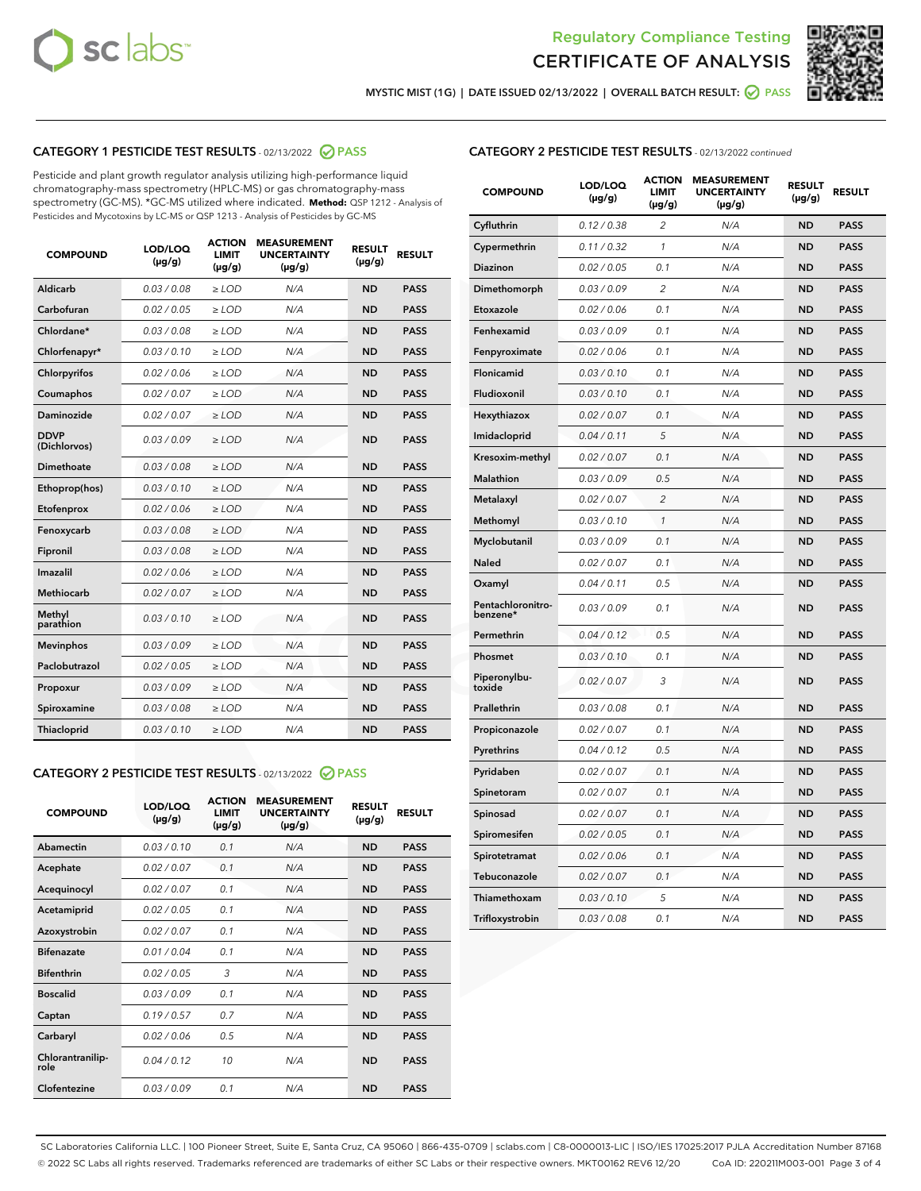



MYSTIC MIST (1G) | DATE ISSUED 02/13/2022 | OVERALL BATCH RESULT:  $\bigcirc$  PASS

## CATEGORY 1 PESTICIDE TEST RESULTS - 02/13/2022 2 PASS

Pesticide and plant growth regulator analysis utilizing high-performance liquid chromatography-mass spectrometry (HPLC-MS) or gas chromatography-mass spectrometry (GC-MS). \*GC-MS utilized where indicated. **Method:** QSP 1212 - Analysis of Pesticides and Mycotoxins by LC-MS or QSP 1213 - Analysis of Pesticides by GC-MS

| <b>COMPOUND</b>             | LOD/LOQ<br>$(\mu g/g)$ | <b>ACTION</b><br><b>LIMIT</b><br>$(\mu g/g)$ | <b>MEASUREMENT</b><br><b>UNCERTAINTY</b><br>$(\mu g/g)$ | <b>RESULT</b><br>$(\mu g/g)$ | <b>RESULT</b> |
|-----------------------------|------------------------|----------------------------------------------|---------------------------------------------------------|------------------------------|---------------|
| Aldicarb                    | 0.03 / 0.08            | $\ge$ LOD                                    | N/A                                                     | <b>ND</b>                    | <b>PASS</b>   |
| Carbofuran                  | 0.02 / 0.05            | $\ge$ LOD                                    | N/A                                                     | <b>ND</b>                    | <b>PASS</b>   |
| Chlordane*                  | 0.03/0.08              | $\ge$ LOD                                    | N/A                                                     | <b>ND</b>                    | <b>PASS</b>   |
| Chlorfenapyr*               | 0.03/0.10              | $\ge$ LOD                                    | N/A                                                     | <b>ND</b>                    | <b>PASS</b>   |
| Chlorpyrifos                | 0.02 / 0.06            | $\ge$ LOD                                    | N/A                                                     | <b>ND</b>                    | <b>PASS</b>   |
| Coumaphos                   | 0.02 / 0.07            | $\ge$ LOD                                    | N/A                                                     | <b>ND</b>                    | <b>PASS</b>   |
| Daminozide                  | 0.02 / 0.07            | $\ge$ LOD                                    | N/A                                                     | <b>ND</b>                    | <b>PASS</b>   |
| <b>DDVP</b><br>(Dichlorvos) | 0.03/0.09              | $\ge$ LOD                                    | N/A                                                     | <b>ND</b>                    | <b>PASS</b>   |
| Dimethoate                  | 0.03 / 0.08            | $\ge$ LOD                                    | N/A                                                     | <b>ND</b>                    | <b>PASS</b>   |
| Ethoprop(hos)               | 0.03/0.10              | $\ge$ LOD                                    | N/A                                                     | <b>ND</b>                    | <b>PASS</b>   |
| Etofenprox                  | 0.02/0.06              | $>$ LOD                                      | N/A                                                     | <b>ND</b>                    | <b>PASS</b>   |
| Fenoxycarb                  | 0.03 / 0.08            | $>$ LOD                                      | N/A                                                     | <b>ND</b>                    | <b>PASS</b>   |
| Fipronil                    | 0.03 / 0.08            | $>$ LOD                                      | N/A                                                     | <b>ND</b>                    | <b>PASS</b>   |
| Imazalil                    | 0.02 / 0.06            | $>$ LOD                                      | N/A                                                     | <b>ND</b>                    | <b>PASS</b>   |
| <b>Methiocarb</b>           | 0.02 / 0.07            | $\ge$ LOD                                    | N/A                                                     | <b>ND</b>                    | <b>PASS</b>   |
| Methyl<br>parathion         | 0.03/0.10              | $\ge$ LOD                                    | N/A                                                     | <b>ND</b>                    | <b>PASS</b>   |
| <b>Mevinphos</b>            | 0.03/0.09              | $\ge$ LOD                                    | N/A                                                     | <b>ND</b>                    | <b>PASS</b>   |
| Paclobutrazol               | 0.02 / 0.05            | $\ge$ LOD                                    | N/A                                                     | <b>ND</b>                    | <b>PASS</b>   |
| Propoxur                    | 0.03/0.09              | $\ge$ LOD                                    | N/A                                                     | <b>ND</b>                    | <b>PASS</b>   |
| Spiroxamine                 | 0.03 / 0.08            | $\ge$ LOD                                    | N/A                                                     | <b>ND</b>                    | <b>PASS</b>   |
| Thiacloprid                 | 0.03/0.10              | $\ge$ LOD                                    | N/A                                                     | <b>ND</b>                    | <b>PASS</b>   |

#### CATEGORY 2 PESTICIDE TEST RESULTS - 02/13/2022 2 PASS

| <b>COMPOUND</b>          | LOD/LOQ<br>$(\mu g/g)$ | <b>ACTION</b><br><b>LIMIT</b><br>$(\mu g/g)$ | <b>MEASUREMENT</b><br><b>UNCERTAINTY</b><br>$(\mu g/g)$ | <b>RESULT</b><br>$(\mu g/g)$ | <b>RESULT</b> |
|--------------------------|------------------------|----------------------------------------------|---------------------------------------------------------|------------------------------|---------------|
| Abamectin                | 0.03/0.10              | 0.1                                          | N/A                                                     | <b>ND</b>                    | <b>PASS</b>   |
| Acephate                 | 0.02/0.07              | 0.1                                          | N/A                                                     | <b>ND</b>                    | <b>PASS</b>   |
| Acequinocyl              | 0.02/0.07              | 0.1                                          | N/A                                                     | <b>ND</b>                    | <b>PASS</b>   |
| Acetamiprid              | 0.02/0.05              | 0.1                                          | N/A                                                     | <b>ND</b>                    | <b>PASS</b>   |
| Azoxystrobin             | 0.02/0.07              | 0.1                                          | N/A                                                     | <b>ND</b>                    | <b>PASS</b>   |
| <b>Bifenazate</b>        | 0.01/0.04              | 0.1                                          | N/A                                                     | <b>ND</b>                    | <b>PASS</b>   |
| <b>Bifenthrin</b>        | 0.02/0.05              | 3                                            | N/A                                                     | <b>ND</b>                    | <b>PASS</b>   |
| <b>Boscalid</b>          | 0.03/0.09              | 0.1                                          | N/A                                                     | <b>ND</b>                    | <b>PASS</b>   |
| Captan                   | 0.19/0.57              | 0.7                                          | N/A                                                     | <b>ND</b>                    | <b>PASS</b>   |
| Carbaryl                 | 0.02/0.06              | 0.5                                          | N/A                                                     | <b>ND</b>                    | <b>PASS</b>   |
| Chlorantranilip-<br>role | 0.04/0.12              | 10                                           | N/A                                                     | <b>ND</b>                    | <b>PASS</b>   |
| Clofentezine             | 0.03/0.09              | 0.1                                          | N/A                                                     | <b>ND</b>                    | <b>PASS</b>   |

| <b>CATEGORY 2 PESTICIDE TEST RESULTS</b> - 02/13/2022 continued |
|-----------------------------------------------------------------|
|-----------------------------------------------------------------|

| <b>COMPOUND</b>               | LOD/LOQ<br>(µg/g) | <b>ACTION</b><br>LIMIT<br>(µg/g) | <b>MEASUREMENT</b><br><b>UNCERTAINTY</b><br>$(\mu g/g)$ | <b>RESULT</b><br>(µg/g) | <b>RESULT</b> |
|-------------------------------|-------------------|----------------------------------|---------------------------------------------------------|-------------------------|---------------|
| Cyfluthrin                    | 0.12 / 0.38       | $\overline{c}$                   | N/A                                                     | <b>ND</b>               | <b>PASS</b>   |
| Cypermethrin                  | 0.11 / 0.32       | $\mathcal{I}$                    | N/A                                                     | <b>ND</b>               | <b>PASS</b>   |
| Diazinon                      | 0.02 / 0.05       | 0.1                              | N/A                                                     | <b>ND</b>               | <b>PASS</b>   |
| Dimethomorph                  | 0.03 / 0.09       | $\overline{2}$                   | N/A                                                     | <b>ND</b>               | <b>PASS</b>   |
| Etoxazole                     | 0.02 / 0.06       | 0.1                              | N/A                                                     | <b>ND</b>               | <b>PASS</b>   |
| Fenhexamid                    | 0.03 / 0.09       | 0.1                              | N/A                                                     | <b>ND</b>               | <b>PASS</b>   |
| Fenpyroximate                 | 0.02 / 0.06       | 0.1                              | N/A                                                     | <b>ND</b>               | <b>PASS</b>   |
| Flonicamid                    | 0.03 / 0.10       | 0.1                              | N/A                                                     | <b>ND</b>               | <b>PASS</b>   |
| Fludioxonil                   | 0.03 / 0.10       | 0.1                              | N/A                                                     | <b>ND</b>               | <b>PASS</b>   |
| Hexythiazox                   | 0.02 / 0.07       | 0.1                              | N/A                                                     | <b>ND</b>               | <b>PASS</b>   |
| Imidacloprid                  | 0.04 / 0.11       | 5                                | N/A                                                     | <b>ND</b>               | <b>PASS</b>   |
| Kresoxim-methyl               | 0.02 / 0.07       | 0.1                              | N/A                                                     | <b>ND</b>               | <b>PASS</b>   |
| <b>Malathion</b>              | 0.03 / 0.09       | 0.5                              | N/A                                                     | <b>ND</b>               | <b>PASS</b>   |
| Metalaxyl                     | 0.02 / 0.07       | $\overline{2}$                   | N/A                                                     | <b>ND</b>               | <b>PASS</b>   |
| Methomyl                      | 0.03 / 0.10       | 1                                | N/A                                                     | <b>ND</b>               | <b>PASS</b>   |
| Myclobutanil                  | 0.03/0.09         | 0.1                              | N/A                                                     | <b>ND</b>               | <b>PASS</b>   |
| <b>Naled</b>                  | 0.02 / 0.07       | 0.1                              | N/A                                                     | <b>ND</b>               | <b>PASS</b>   |
| Oxamyl                        | 0.04 / 0.11       | 0.5                              | N/A                                                     | <b>ND</b>               | <b>PASS</b>   |
| Pentachloronitro-<br>benzene* | 0.03/0.09         | 0.1                              | N/A                                                     | ND                      | <b>PASS</b>   |
| Permethrin                    | 0.04 / 0.12       | 0.5                              | N/A                                                     | <b>ND</b>               | <b>PASS</b>   |
| Phosmet                       | 0.03 / 0.10       | 0.1                              | N/A                                                     | <b>ND</b>               | <b>PASS</b>   |
| Piperonylbu-<br>toxide        | 0.02 / 0.07       | 3                                | N/A                                                     | <b>ND</b>               | <b>PASS</b>   |
| Prallethrin                   | 0.03 / 0.08       | 0.1                              | N/A                                                     | <b>ND</b>               | <b>PASS</b>   |
| Propiconazole                 | 0.02 / 0.07       | 0.1                              | N/A                                                     | <b>ND</b>               | <b>PASS</b>   |
| Pyrethrins                    | 0.04 / 0.12       | 0.5                              | N/A                                                     | <b>ND</b>               | <b>PASS</b>   |
| Pyridaben                     | 0.02 / 0.07       | 0.1                              | N/A                                                     | <b>ND</b>               | <b>PASS</b>   |
| Spinetoram                    | 0.02 / 0.07       | 0.1                              | N/A                                                     | <b>ND</b>               | <b>PASS</b>   |
| Spinosad                      | 0.02 / 0.07       | 0.1                              | N/A                                                     | <b>ND</b>               | <b>PASS</b>   |
| Spiromesifen                  | 0.02 / 0.05       | 0.1                              | N/A                                                     | <b>ND</b>               | <b>PASS</b>   |
| Spirotetramat                 | 0.02 / 0.06       | 0.1                              | N/A                                                     | <b>ND</b>               | <b>PASS</b>   |
| Tebuconazole                  | 0.02 / 0.07       | 0.1                              | N/A                                                     | <b>ND</b>               | <b>PASS</b>   |
| Thiamethoxam                  | 0.03 / 0.10       | 5                                | N/A                                                     | <b>ND</b>               | <b>PASS</b>   |
| Trifloxystrobin               | 0.03 / 0.08       | 0.1                              | N/A                                                     | <b>ND</b>               | <b>PASS</b>   |

SC Laboratories California LLC. | 100 Pioneer Street, Suite E, Santa Cruz, CA 95060 | 866-435-0709 | sclabs.com | C8-0000013-LIC | ISO/IES 17025:2017 PJLA Accreditation Number 87168 © 2022 SC Labs all rights reserved. Trademarks referenced are trademarks of either SC Labs or their respective owners. MKT00162 REV6 12/20 CoA ID: 220211M003-001 Page 3 of 4